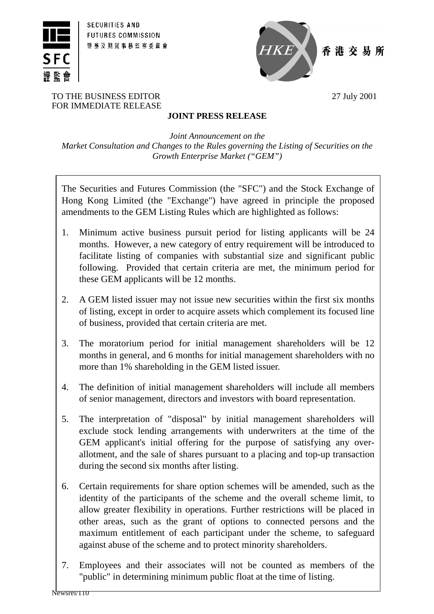



香港交易所

#### TO THE BUSINESS EDITOR 27 July 2001 FOR IMMEDIATE RELEASE

# **JOINT PRESS RELEASE**

*Joint Announcement on the Market Consultation and Changes to the Rules governing the Listing of Securities on the Growth Enterprise Market ("GEM")*

The Securities and Futures Commission (the "SFC") and the Stock Exchange of Hong Kong Limited (the "Exchange") have agreed in principle the proposed amendments to the GEM Listing Rules which are highlighted as follows:

- 1. Minimum active business pursuit period for listing applicants will be 24 months. However, a new category of entry requirement will be introduced to facilitate listing of companies with substantial size and significant public following. Provided that certain criteria are met, the minimum period for these GEM applicants will be 12 months.
- 2. A GEM listed issuer may not issue new securities within the first six months of listing, except in order to acquire assets which complement its focused line of business, provided that certain criteria are met.
- 3. The moratorium period for initial management shareholders will be 12 months in general, and 6 months for initial management shareholders with no more than 1% shareholding in the GEM listed issuer.
- 4. The definition of initial management shareholders will include all members of senior management, directors and investors with board representation.
- 5. The interpretation of "disposal" by initial management shareholders will exclude stock lending arrangements with underwriters at the time of the GEM applicant's initial offering for the purpose of satisfying any overallotment, and the sale of shares pursuant to a placing and top-up transaction during the second six months after listing.
- 6. Certain requirements for share option schemes will be amended, such as the identity of the participants of the scheme and the overall scheme limit, to allow greater flexibility in operations. Further restrictions will be placed in other areas, such as the grant of options to connected persons and the maximum entitlement of each participant under the scheme, to safeguard against abuse of the scheme and to protect minority shareholders.
- 7. Employees and their associates will not be counted as members of the "public" in determining minimum public float at the time of listing.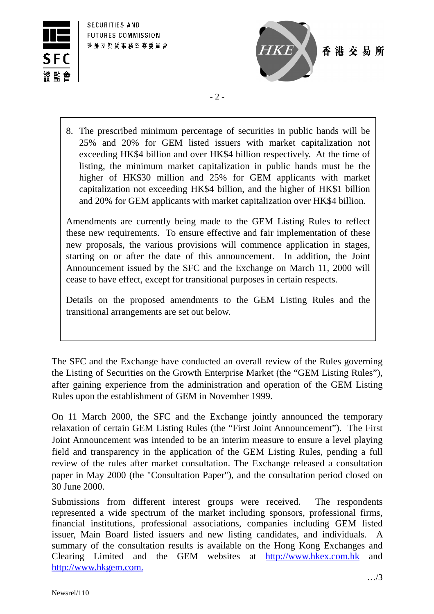



- 2 -

8. The prescribed minimum percentage of securities in public hands will be 25% and 20% for GEM listed issuers with market capitalization not exceeding HK\$4 billion and over HK\$4 billion respectively. At the time of listing, the minimum market capitalization in public hands must be the higher of HK\$30 million and 25% for GEM applicants with market capitalization not exceeding HK\$4 billion, and the higher of HK\$1 billion and 20% for GEM applicants with market capitalization over HK\$4 billion.

Amendments are currently being made to the GEM Listing Rules to reflect these new requirements. To ensure effective and fair implementation of these new proposals, the various provisions will commence application in stages, starting on or after the date of this announcement. In addition, the Joint Announcement issued by the SFC and the Exchange on March 11, 2000 will cease to have effect, except for transitional purposes in certain respects.

Details on the proposed amendments to the GEM Listing Rules and the transitional arrangements are set out below.

The SFC and the Exchange have conducted an overall review of the Rules governing the Listing of Securities on the Growth Enterprise Market (the "GEM Listing Rules"), after gaining experience from the administration and operation of the GEM Listing Rules upon the establishment of GEM in November 1999.

On 11 March 2000, the SFC and the Exchange jointly announced the temporary relaxation of certain GEM Listing Rules (the "First Joint Announcement"). The First Joint Announcement was intended to be an interim measure to ensure a level playing field and transparency in the application of the GEM Listing Rules, pending a full review of the rules after market consultation. The Exchange released a consultation paper in May 2000 (the "Consultation Paper"), and the consultation period closed on 30 June 2000.

Submissions from different interest groups were received. The respondents represented a wide spectrum of the market including sponsors, professional firms, financial institutions, professional associations, companies including GEM listed issuer, Main Board listed issuers and new listing candidates, and individuals. A summary of the consultation results is available on the Hong Kong Exchanges and Clearing Limited and the GEM websites at http://www.hkex.com.hk and http://www.hkgem.com.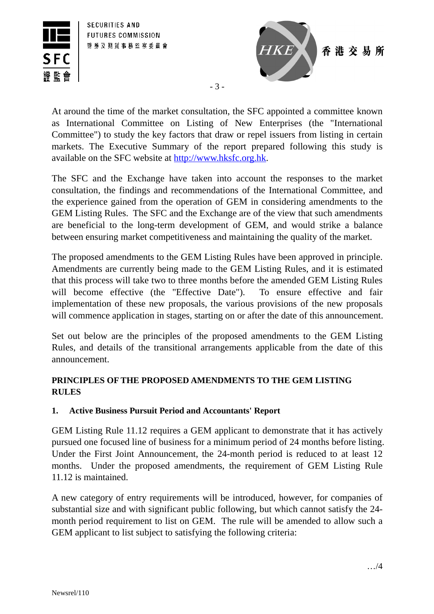



- 3 -

At around the time of the market consultation, the SFC appointed a committee known as International Committee on Listing of New Enterprises (the "International Committee") to study the key factors that draw or repel issuers from listing in certain markets. The Executive Summary of the report prepared following this study is available on the SFC website at http://www.hksfc.org.hk.

The SFC and the Exchange have taken into account the responses to the market consultation, the findings and recommendations of the International Committee, and the experience gained from the operation of GEM in considering amendments to the GEM Listing Rules. The SFC and the Exchange are of the view that such amendments are beneficial to the long-term development of GEM, and would strike a balance between ensuring market competitiveness and maintaining the quality of the market.

The proposed amendments to the GEM Listing Rules have been approved in principle. Amendments are currently being made to the GEM Listing Rules, and it is estimated that this process will take two to three months before the amended GEM Listing Rules will become effective (the "Effective Date"). To ensure effective and fair implementation of these new proposals, the various provisions of the new proposals will commence application in stages, starting on or after the date of this announcement.

Set out below are the principles of the proposed amendments to the GEM Listing Rules, and details of the transitional arrangements applicable from the date of this announcement.

# **PRINCIPLES OF THE PROPOSED AMENDMENTS TO THE GEM LISTING RULES**

# **1. Active Business Pursuit Period and Accountants' Report**

GEM Listing Rule 11.12 requires a GEM applicant to demonstrate that it has actively pursued one focused line of business for a minimum period of 24 months before listing. Under the First Joint Announcement, the 24-month period is reduced to at least 12 months. Under the proposed amendments, the requirement of GEM Listing Rule 11.12 is maintained.

A new category of entry requirements will be introduced, however, for companies of substantial size and with significant public following, but which cannot satisfy the 24 month period requirement to list on GEM. The rule will be amended to allow such a GEM applicant to list subject to satisfying the following criteria: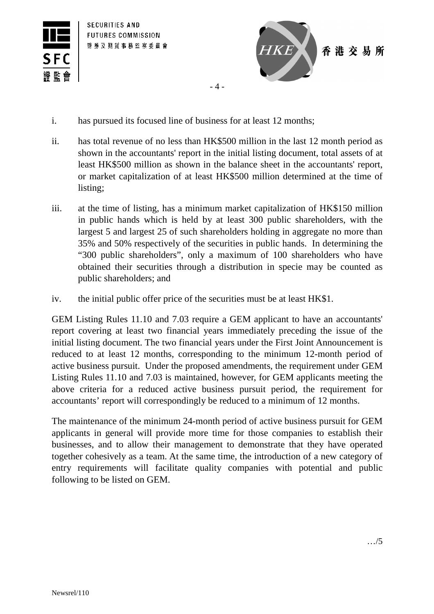



- $-4-$
- i. has pursued its focused line of business for at least 12 months;
- ii. has total revenue of no less than HK\$500 million in the last 12 month period as shown in the accountants' report in the initial listing document, total assets of at least HK\$500 million as shown in the balance sheet in the accountants' report, or market capitalization of at least HK\$500 million determined at the time of listing;
- iii. at the time of listing, has a minimum market capitalization of HK\$150 million in public hands which is held by at least 300 public shareholders, with the largest 5 and largest 25 of such shareholders holding in aggregate no more than 35% and 50% respectively of the securities in public hands. In determining the "300 public shareholders", only a maximum of 100 shareholders who have obtained their securities through a distribution in specie may be counted as public shareholders; and
- iv. the initial public offer price of the securities must be at least HK\$1.

GEM Listing Rules 11.10 and 7.03 require a GEM applicant to have an accountants' report covering at least two financial years immediately preceding the issue of the initial listing document. The two financial years under the First Joint Announcement is reduced to at least 12 months, corresponding to the minimum 12-month period of active business pursuit. Under the proposed amendments, the requirement under GEM Listing Rules 11.10 and 7.03 is maintained, however, for GEM applicants meeting the above criteria for a reduced active business pursuit period, the requirement for accountants' report will correspondingly be reduced to a minimum of 12 months.

The maintenance of the minimum 24-month period of active business pursuit for GEM applicants in general will provide more time for those companies to establish their businesses, and to allow their management to demonstrate that they have operated together cohesively as a team. At the same time, the introduction of a new category of entry requirements will facilitate quality companies with potential and public following to be listed on GEM.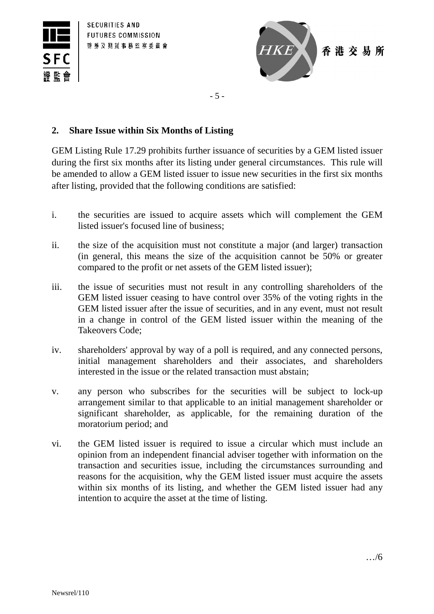



- 5 -

#### **2. Share Issue within Six Months of Listing**

GEM Listing Rule 17.29 prohibits further issuance of securities by a GEM listed issuer during the first six months after its listing under general circumstances. This rule will be amended to allow a GEM listed issuer to issue new securities in the first six months after listing, provided that the following conditions are satisfied:

- i. the securities are issued to acquire assets which will complement the GEM listed issuer's focused line of business;
- ii. the size of the acquisition must not constitute a major (and larger) transaction (in general, this means the size of the acquisition cannot be 50% or greater compared to the profit or net assets of the GEM listed issuer);
- iii. the issue of securities must not result in any controlling shareholders of the GEM listed issuer ceasing to have control over 35% of the voting rights in the GEM listed issuer after the issue of securities, and in any event, must not result in a change in control of the GEM listed issuer within the meaning of the Takeovers Code;
- iv. shareholders' approval by way of a poll is required, and any connected persons, initial management shareholders and their associates, and shareholders interested in the issue or the related transaction must abstain;
- v. any person who subscribes for the securities will be subject to lock-up arrangement similar to that applicable to an initial management shareholder or significant shareholder, as applicable, for the remaining duration of the moratorium period; and
- vi. the GEM listed issuer is required to issue a circular which must include an opinion from an independent financial adviser together with information on the transaction and securities issue, including the circumstances surrounding and reasons for the acquisition, why the GEM listed issuer must acquire the assets within six months of its listing, and whether the GEM listed issuer had any intention to acquire the asset at the time of listing.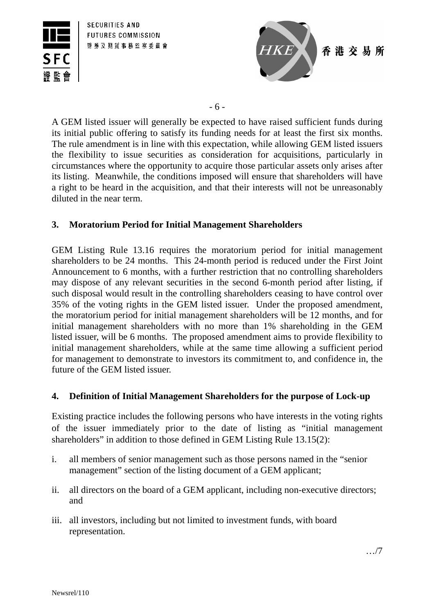



- 6 -

A GEM listed issuer will generally be expected to have raised sufficient funds during its initial public offering to satisfy its funding needs for at least the first six months. The rule amendment is in line with this expectation, while allowing GEM listed issuers the flexibility to issue securities as consideration for acquisitions, particularly in circumstances where the opportunity to acquire those particular assets only arises after its listing. Meanwhile, the conditions imposed will ensure that shareholders will have a right to be heard in the acquisition, and that their interests will not be unreasonably diluted in the near term.

# **3. Moratorium Period for Initial Management Shareholders**

GEM Listing Rule 13.16 requires the moratorium period for initial management shareholders to be 24 months. This 24-month period is reduced under the First Joint Announcement to 6 months, with a further restriction that no controlling shareholders may dispose of any relevant securities in the second 6-month period after listing, if such disposal would result in the controlling shareholders ceasing to have control over 35% of the voting rights in the GEM listed issuer. Under the proposed amendment, the moratorium period for initial management shareholders will be 12 months, and for initial management shareholders with no more than 1% shareholding in the GEM listed issuer, will be 6 months. The proposed amendment aims to provide flexibility to initial management shareholders, while at the same time allowing a sufficient period for management to demonstrate to investors its commitment to, and confidence in, the future of the GEM listed issuer.

# **4. Definition of Initial Management Shareholders for the purpose of Lock-up**

Existing practice includes the following persons who have interests in the voting rights of the issuer immediately prior to the date of listing as "initial management shareholders" in addition to those defined in GEM Listing Rule 13.15(2):

- i. all members of senior management such as those persons named in the "senior management" section of the listing document of a GEM applicant;
- ii. all directors on the board of a GEM applicant, including non-executive directors; and
- iii. all investors, including but not limited to investment funds, with board representation.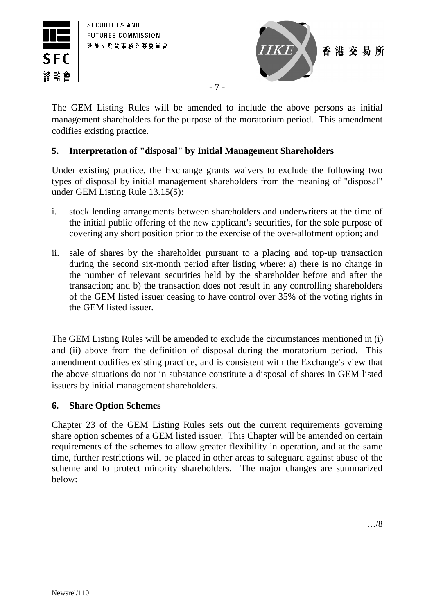



The GEM Listing Rules will be amended to include the above persons as initial management shareholders for the purpose of the moratorium period. This amendment codifies existing practice.

- 7 -

### **5. Interpretation of "disposal" by Initial Management Shareholders**

Under existing practice, the Exchange grants waivers to exclude the following two types of disposal by initial management shareholders from the meaning of "disposal" under GEM Listing Rule 13.15(5):

- i. stock lending arrangements between shareholders and underwriters at the time of the initial public offering of the new applicant's securities, for the sole purpose of covering any short position prior to the exercise of the over-allotment option; and
- ii. sale of shares by the shareholder pursuant to a placing and top-up transaction during the second six-month period after listing where: a) there is no change in the number of relevant securities held by the shareholder before and after the transaction; and b) the transaction does not result in any controlling shareholders of the GEM listed issuer ceasing to have control over 35% of the voting rights in the GEM listed issuer.

The GEM Listing Rules will be amended to exclude the circumstances mentioned in (i) and (ii) above from the definition of disposal during the moratorium period. This amendment codifies existing practice, and is consistent with the Exchange's view that the above situations do not in substance constitute a disposal of shares in GEM listed issuers by initial management shareholders.

#### **6. Share Option Schemes**

Chapter 23 of the GEM Listing Rules sets out the current requirements governing share option schemes of a GEM listed issuer. This Chapter will be amended on certain requirements of the schemes to allow greater flexibility in operation, and at the same time, further restrictions will be placed in other areas to safeguard against abuse of the scheme and to protect minority shareholders. The major changes are summarized below: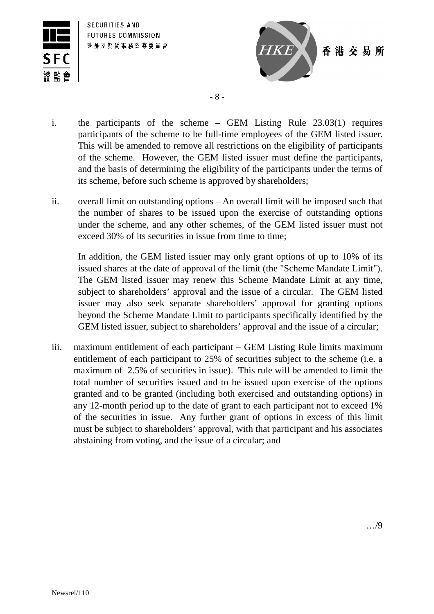



- 8 -

- i. the participants of the scheme GEM Listing Rule 23.03(1) requires participants of the scheme to be full-time employees of the GEM listed issuer. This will be amended to remove all restrictions on the eligibility of participants of the scheme. However, the GEM listed issuer must define the participants, and the basis of determining the eligibility of the participants under the terms of its scheme, before such scheme is approved by shareholders;
- ii. overall limit on outstanding options An overall limit will be imposed such that the number of shares to be issued upon the exercise of outstanding options under the scheme, and any other schemes, of the GEM listed issuer must not exceed 30% of its securities in issue from time to time;

In addition, the GEM listed issuer may only grant options of up to 10% of its issued shares at the date of approval of the limit (the "Scheme Mandate Limit"). The GEM listed issuer may renew this Scheme Mandate Limit at any time, subject to shareholders' approval and the issue of a circular. The GEM listed issuer may also seek separate shareholders' approval for granting options beyond the Scheme Mandate Limit to participants specifically identified by the GEM listed issuer, subject to shareholders' approval and the issue of a circular;

iii. maximum entitlement of each participant – GEM Listing Rule limits maximum entitlement of each participant to 25% of securities subject to the scheme (i.e. a maximum of 2.5% of securities in issue). This rule will be amended to limit the total number of securities issued and to be issued upon exercise of the options granted and to be granted (including both exercised and outstanding options) in any 12-month period up to the date of grant to each participant not to exceed 1% of the securities in issue. Any further grant of options in excess of this limit must be subject to shareholders' approval, with that participant and his associates abstaining from voting, and the issue of a circular; and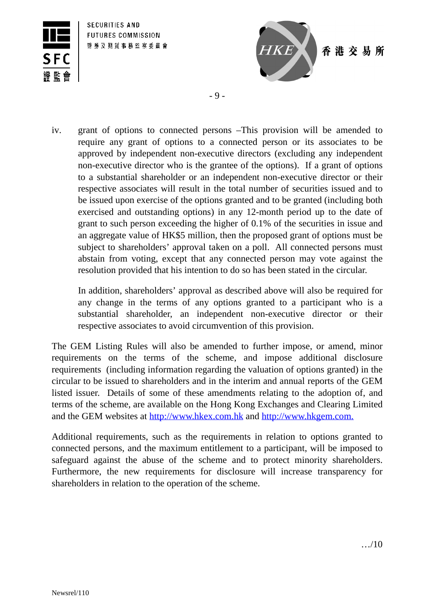



- 9 -

iv. grant of options to connected persons –This provision will be amended to require any grant of options to a connected person or its associates to be approved by independent non-executive directors (excluding any independent non-executive director who is the grantee of the options). If a grant of options to a substantial shareholder or an independent non-executive director or their respective associates will result in the total number of securities issued and to be issued upon exercise of the options granted and to be granted (including both exercised and outstanding options) in any 12-month period up to the date of grant to such person exceeding the higher of 0.1% of the securities in issue and an aggregate value of HK\$5 million, then the proposed grant of options must be subject to shareholders' approval taken on a poll. All connected persons must abstain from voting, except that any connected person may vote against the resolution provided that his intention to do so has been stated in the circular.

In addition, shareholders' approval as described above will also be required for any change in the terms of any options granted to a participant who is a substantial shareholder, an independent non-executive director or their respective associates to avoid circumvention of this provision.

The GEM Listing Rules will also be amended to further impose, or amend, minor requirements on the terms of the scheme, and impose additional disclosure requirements (including information regarding the valuation of options granted) in the circular to be issued to shareholders and in the interim and annual reports of the GEM listed issuer. Details of some of these amendments relating to the adoption of, and terms of the scheme, are available on the Hong Kong Exchanges and Clearing Limited and the GEM websites at http://www.hkex.com.hk and http://www.hkgem.com.

Additional requirements, such as the requirements in relation to options granted to connected persons, and the maximum entitlement to a participant, will be imposed to safeguard against the abuse of the scheme and to protect minority shareholders. Furthermore, the new requirements for disclosure will increase transparency for shareholders in relation to the operation of the scheme.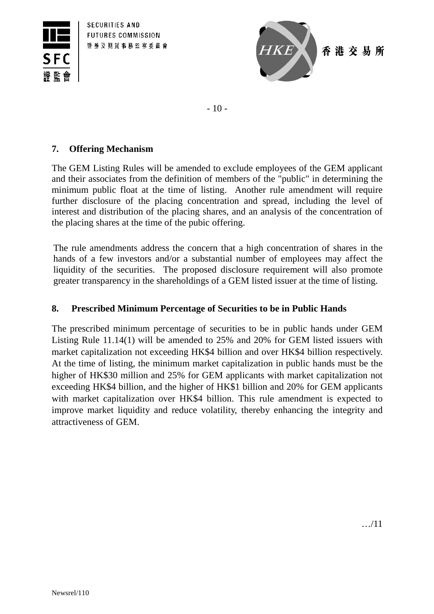



- 10 -

### **7. Offering Mechanism**

The GEM Listing Rules will be amended to exclude employees of the GEM applicant and their associates from the definition of members of the "public" in determining the minimum public float at the time of listing. Another rule amendment will require further disclosure of the placing concentration and spread, including the level of interest and distribution of the placing shares, and an analysis of the concentration of the placing shares at the time of the pubic offering.

The rule amendments address the concern that a high concentration of shares in the hands of a few investors and/or a substantial number of employees may affect the liquidity of the securities. The proposed disclosure requirement will also promote greater transparency in the shareholdings of a GEM listed issuer at the time of listing.

# **8. Prescribed Minimum Percentage of Securities to be in Public Hands**

The prescribed minimum percentage of securities to be in public hands under GEM Listing Rule 11.14(1) will be amended to 25% and 20% for GEM listed issuers with market capitalization not exceeding HK\$4 billion and over HK\$4 billion respectively. At the time of listing, the minimum market capitalization in public hands must be the higher of HK\$30 million and 25% for GEM applicants with market capitalization not exceeding HK\$4 billion, and the higher of HK\$1 billion and 20% for GEM applicants with market capitalization over HK\$4 billion. This rule amendment is expected to improve market liquidity and reduce volatility, thereby enhancing the integrity and attractiveness of GEM.

…/11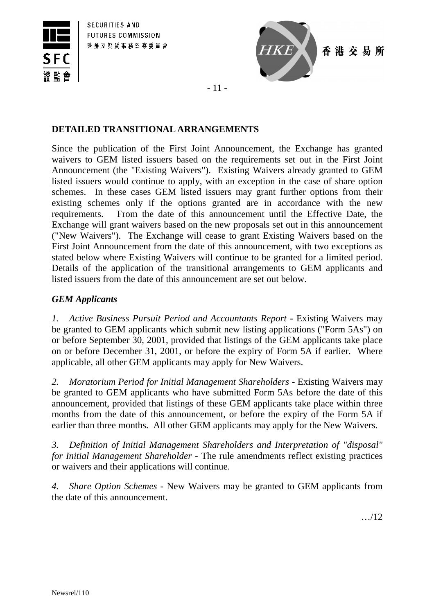



香港交易所

- 11 -

### **DETAILED TRANSITIONAL ARRANGEMENTS**

Since the publication of the First Joint Announcement, the Exchange has granted waivers to GEM listed issuers based on the requirements set out in the First Joint Announcement (the "Existing Waivers"). Existing Waivers already granted to GEM listed issuers would continue to apply, with an exception in the case of share option schemes. In these cases GEM listed issuers may grant further options from their existing schemes only if the options granted are in accordance with the new requirements. From the date of this announcement until the Effective Date, the Exchange will grant waivers based on the new proposals set out in this announcement ("New Waivers"). The Exchange will cease to grant Existing Waivers based on the First Joint Announcement from the date of this announcement, with two exceptions as stated below where Existing Waivers will continue to be granted for a limited period. Details of the application of the transitional arrangements to GEM applicants and listed issuers from the date of this announcement are set out below.

# *GEM Applicants*

*1.* Active Business Pursuit Period and Accountants Report - Existing Waivers may be granted to GEM applicants which submit new listing applications ("Form 5As") on or before September 30, 2001, provided that listings of the GEM applicants take place on or before December 31, 2001, or before the expiry of Form 5A if earlier. Where applicable, all other GEM applicants may apply for New Waivers.

2. Moratorium Period for Initial Management Shareholders - Existing Waivers may be granted to GEM applicants who have submitted Form 5As before the date of this announcement, provided that listings of these GEM applicants take place within three months from the date of this announcement, or before the expiry of the Form 5A if earlier than three months. All other GEM applicants may apply for the New Waivers.

*3. Definition of Initial Management Shareholders and Interpretation of "disposal" for Initial Management Shareholder -* The rule amendments reflect existing practices or waivers and their applications will continue.

*4. Share Option Schemes* - New Waivers may be granted to GEM applicants from the date of this announcement.

…/12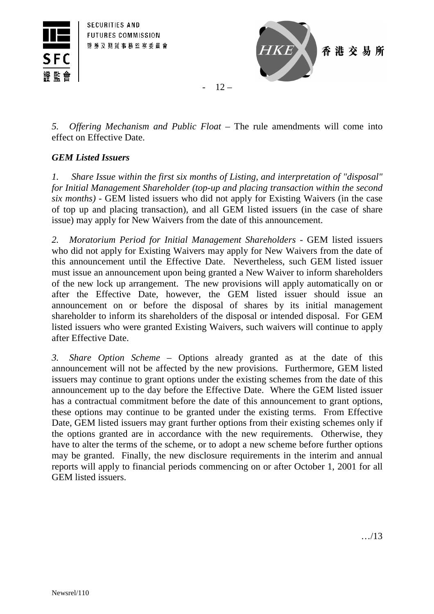



 $-12-$ 

*5. Offering Mechanism and Public Float –* The rule amendments will come into effect on Effective Date.

# *GEM Listed Issuers*

*1. Share Issue within the first six months of Listing, and interpretation of "disposal" for Initial Management Shareholder (top-up and placing transaction within the second six months) -* GEM listed issuers who did not apply for Existing Waivers (in the case of top up and placing transaction), and all GEM listed issuers (in the case of share issue) may apply for New Waivers from the date of this announcement.

*2. Moratorium Period for Initial Management Shareholders* - GEM listed issuers who did not apply for Existing Waivers may apply for New Waivers from the date of this announcement until the Effective Date. Nevertheless, such GEM listed issuer must issue an announcement upon being granted a New Waiver to inform shareholders of the new lock up arrangement. The new provisions will apply automatically on or after the Effective Date, however, the GEM listed issuer should issue an announcement on or before the disposal of shares by its initial management shareholder to inform its shareholders of the disposal or intended disposal. For GEM listed issuers who were granted Existing Waivers, such waivers will continue to apply after Effective Date.

*3. Share Option Scheme* – Options already granted as at the date of this announcement will not be affected by the new provisions. Furthermore, GEM listed issuers may continue to grant options under the existing schemes from the date of this announcement up to the day before the Effective Date. Where the GEM listed issuer has a contractual commitment before the date of this announcement to grant options, these options may continue to be granted under the existing terms. From Effective Date, GEM listed issuers may grant further options from their existing schemes only if the options granted are in accordance with the new requirements. Otherwise, they have to alter the terms of the scheme, or to adopt a new scheme before further options may be granted. Finally, the new disclosure requirements in the interim and annual reports will apply to financial periods commencing on or after October 1, 2001 for all GEM listed issuers.